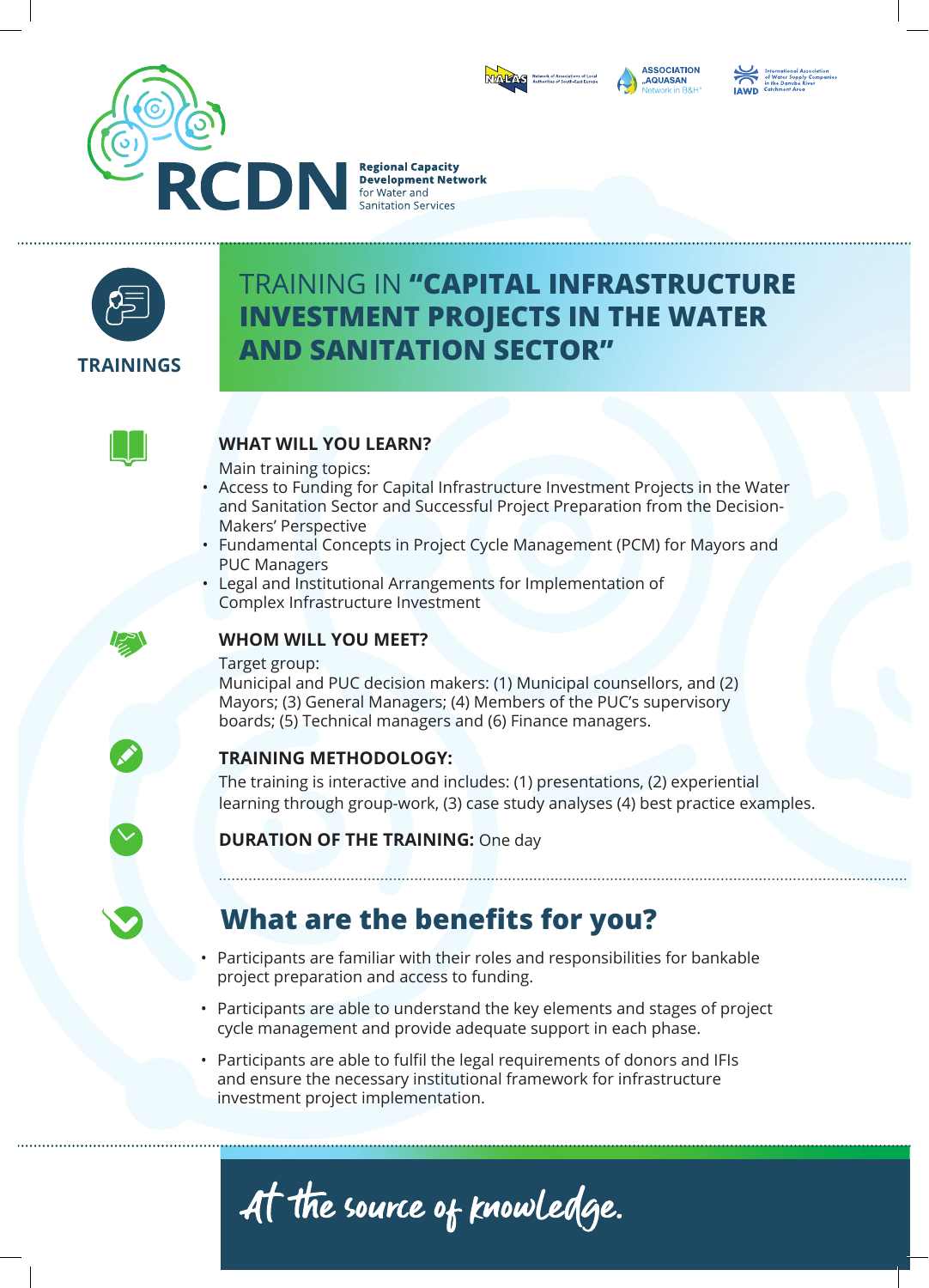



# TRAINING IN **"CAPITAL INFRASTRUCTURE INVESTMENT PROJECTS IN THE WATER AND SANITATION SECTOR"**



#### **WHAT WILL YOU LEARN?**

Main training topics:

- Access to Funding for Capital Infrastructure Investment Projects in the Water and Sanitation Sector and Successful Project Preparation from the Decision-Makers' Perspective
- Fundamental Concepts in Project Cycle Management (PCM) for Mayors and PUC Managers
- Legal and Institutional Arrangements for Implementation of Complex Infrastructure Investment



#### **WHOM WILL YOU MEET?**

Target group:

Municipal and PUC decision makers: (1) Municipal counsellors, and (2) Mayors; (3) General Managers; (4) Members of the PUC's supervisory boards; (5) Technical managers and (6) Finance managers.

### **TRAINING METHODOLOGY:**

The training is interactive and includes: (1) presentations, (2) experiential learning through group-work, (3) case study analyses (4) best practice examples.

### **DURATION OF THE TRAINING: One day**

# **What are the benefits for you?**

- Participants are familiar with their roles and responsibilities for bankable project preparation and access to funding.
- Participants are able to understand the key elements and stages of project cycle management and provide adequate support in each phase.
- Participants are able to fulfil the legal requirements of donors and IFIs and ensure the necessary institutional framework for infrastructure investment project implementation.



**ASSOCIATION** AQUASAN